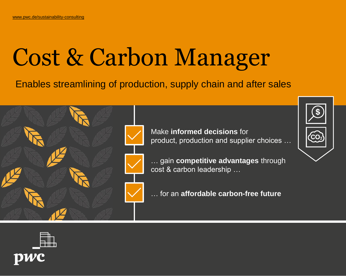# Cost & Carbon Manager

Enables streamlining of production, supply chain and after sales



Make **informed decisions** for product, production and supplier choices …

… gain **competitive advantages** through cost & carbon leadership …

… for an **affordable carbon-free future**



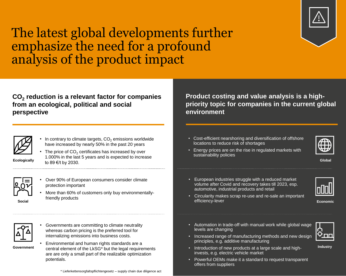

# The latest global developments further emphasize the need for a profound analysis of the product impact

**CO<sup>2</sup> reduction is a relevant factor for companies from an ecological, political and social perspective** 



- In contrary to climate targets,  $CO<sub>2</sub>$  emissions worldwide have increased by nearly 50% in the past 20 years
- **Ecologically**
- The price of  $CO<sub>2</sub>$  certificates has increased by over 1.000% in the last 5 years and is expected to increase to 89 €/t by 2030.



**Social**

- Over 90% of European consumers consider climate protection important
- More than 60% of customers only buy environmentallyfriendly products

• Governments are committing to climate neutrality whereas carbon pricing is the preferred tool for internalizing emissions into business costs.



- **Government**
- Environmental and human rights standards are a central element of the LkSG\* but the legal requirements are are only a small part of the realizable optimization potentials.

\* Lieferkettensorgfaltspflichtengesetz – supply chain due diligence act

**Product costing and value analysis is a highpriority topic for companies in the current global environment**

• Cost-efficient nearshoring and diversification of offshore locations to reduce risk of shortages



• Energy prices are on the rise in regulated markets with sustainability policies

**Global**

• European industries struggle with a reduced market volume after Covid and recovery takes till 2023, esp. automotive, industrial products and retail



**Economic**

- Circularity makes scrap re-use and re-sale an important efficiency-lever
- Automation in trade-off with manual work while global wage levels are changing
- Increased range of manufacturing methods and new design principles, e.g. additive manufacturing
- Introduction of new products at a large scale and highinvests, e.g. electric vehicle market
- Powerful OEMs make it a standard to request transparent offers from suppliers



**Industry**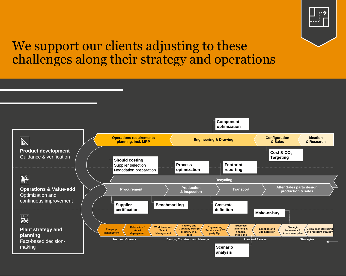

# We support our clients adjusting to these challenges along their strategy and operations

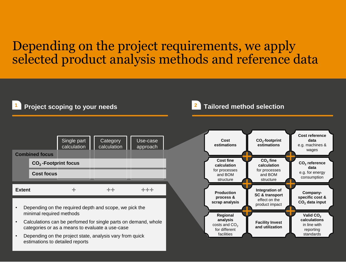### Depending on the project requirements, we apply selected product analysis methods and reference data



- Depending on the required depth and scope, we pick the minimal required methods
- Calculations can be perfomed for single parts on demand, whole categories or as a means to evaluate a use-case
- Depending on the project state, analysis vary from quick estimations to detailed reports

### **Project scoping to your needs <sup>1</sup> <sup>2</sup> Tailored method selection**

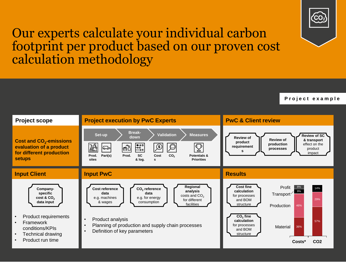

### Our experts calculate your individual carbon footprint per product based on our proven cost calculation methodology



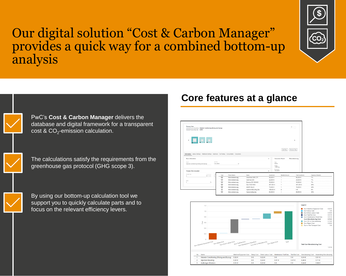

### Our digital solution "Cost & Carbon Manager" provides a quick way for a combined bottom-up analysis



**PwC** 

PwC's **Cost & Carbon Manager** delivers the database and digital framework for a transparent cost & CO $_2$ -emission calculation.

The calculations satisfy the requirements from the greenhouse gas protocol (GHG scope 3).

By using our bottom-up calculation tool we support you to quickly calculate parts and to focus on the relevant efficiency levers.

### **Core features at a glance**

| <b>Process View</b><br>Selected Process Step Name: Material Conditioning (Mixing and Drying)<br>Selected Process Step Cost 0.05 € |                                                    |                |                        |                     |                                                               | $+$ -            |                      |
|-----------------------------------------------------------------------------------------------------------------------------------|----------------------------------------------------|----------------|------------------------|---------------------|---------------------------------------------------------------|------------------|----------------------|
| $\mathbf{E} = \mathbf{E} \mathbf{E} \mathbf{E}$                                                                                   |                                                    |                |                        |                     |                                                               | $\rightarrow$    |                      |
| Information Labour Settings Additional Settings Machines Die/Tooling Consumables Documents                                        |                                                    |                |                        |                     | Add Step                                                      | Remove Step      |                      |
|                                                                                                                                   |                                                    |                |                        |                     |                                                               |                  |                      |
| <b>Basic Information</b><br>Name*                                                                                                 | Accuracy                                           |                |                        | $\hat{\phantom{a}}$ | <b>Calculation Result</b><br>Total                            | Motorabdeckung   |                      |
| Material Conditioning (Mixing and Drying)<br>Process Time Calculator                                                              | Calculated                                         | $\checkmark$   |                        | $\hat{\phantom{a}}$ | 5.60€<br>Weight<br>1.0800 kg<br><b>Investment</b><br>766,500€ |                  |                      |
| Process Time                                                                                                                      | $\mathbb{C}$<br>Type                               | Parent Name    | Name                   | Investment          | Needed Amount                                                 | Total Investment | Capacity Utilization |
| $\sim$<br>$\mathbf{s}$                                                                                                            | $\mathbf{s}$<br>$\mathbb{K}^{\times}_{\mathbb{R}}$ | Motorabdeckung | Gravimax GMX 274       | 55,000€             | 1                                                             | 60,000€          | 7%                   |
|                                                                                                                                   | KX                                                 | Motorabdeckung | Coolmax 250            | 22,000€             | $\mathbf{1}$                                                  | 23,000 €         | 7%                   |
| Relect<br>$\gamma_1$                                                                                                              | КX                                                 | Motorabdeckung | Drymax ES 100/400      | 35,000 €            | 1                                                             | 35,000 €         | 7%                   |
|                                                                                                                                   | КX                                                 | Motorabdeckung | Duo 7050/1000          | 491,000 €           | 1                                                             | 491,000€         | 48%                  |
|                                                                                                                                   | 腏                                                  | Motorabdeckung | 4400F 45-2.8           | 79,000 €            | 1                                                             | 79,000€          | 48%                  |
|                                                                                                                                   | $^{\circledR}$                                     | Motorabdeckung | Injection Moulding Die | 150,000 €           | $^{\circ}$                                                    | $0 \in$          | 0%                   |

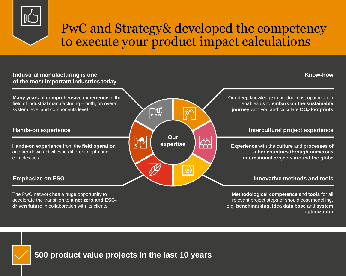

# PwC and Strategy& developed the competency to execute your product impact calculations

#### **Industrial manufacturing is one of the most important industries today**

**Many years** of **comprehensive experience** in the field of industrial manufacturing – both, on overall system level and components level

#### **Hands-on experience**

**Hands-on experience** from the **field operation** and tier-down activities in different depth and complexities

### **Emphasize on ESG**

The PwC network has a huge opportunity to accelerate the transition to **a net zero and ESGdriven future** in collaboration with its clients



#### **Know-how**

Our deep knowledge in product cost optimization enables us to **embark on the sustainable journey** with you and calculate **CO<sup>2</sup> -footprints** 

### **Intercultural project experience**

**Experience** with the **culture** and **processes of other countries through numerous international projects around the globe**

#### **Innovative methods and tools**

**Methodological competence** and **tools** for all relevant project steps of should cost modelling, e.g. **benchmarking, idea data base** and **system optimization**



**PwC**